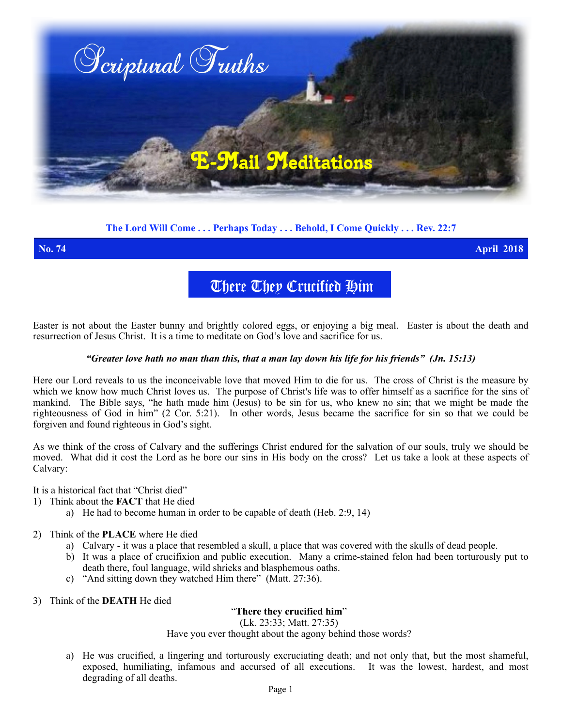

# **The Lord Will Come . . . Perhaps Today . . . Behold, I Come Quickly . . . Rev. 22:7**

**No. 74 April 2018**

There They Crucified Him

Easter is not about the Easter bunny and brightly colored eggs, or enjoying a big meal. Easter is about the death and resurrection of Jesus Christ. It is a time to meditate on God's love and sacrifice for us.

## *"Greater love hath no man than this, that a man lay down his life for his friends" (Jn. 15:13)*

Here our Lord reveals to us the inconceivable love that moved Him to die for us. The cross of Christ is the measure by which we know how much Christ loves us. The purpose of Christ's life was to offer himself as a sacrifice for the sins of mankind. The Bible says, "he hath made him (Jesus) to be sin for us, who knew no sin; that we might be made the righteousness of God in him" (2 Cor. 5:21). In other words, Jesus became the sacrifice for sin so that we could be forgiven and found righteous in God's sight.

As we think of the cross of Calvary and the sufferings Christ endured for the salvation of our souls, truly we should be moved. What did it cost the Lord as he bore our sins in His body on the cross? Let us take a look at these aspects of Calvary:

It is a historical fact that "Christ died"

- 1) Think about the **FACT** that He died
	- a) He had to become human in order to be capable of death (Heb. 2:9, 14)
- 2) Think of the **PLACE** where He died
	- a) Calvary it was a place that resembled a skull, a place that was covered with the skulls of dead people.
	- b) It was a place of crucifixion and public execution. Many a crime-stained felon had been torturously put to death there, foul language, wild shrieks and blasphemous oaths.
	- c) "And sitting down they watched Him there" (Matt. 27:36).
- 3) Think of the **DEATH** He died

"**There they crucified him**"

(Lk. 23:33; Matt. 27:35)

Have you ever thought about the agony behind those words?

a) He was crucified, a lingering and torturously excruciating death; and not only that, but the most shameful, exposed, humiliating, infamous and accursed of all executions. It was the lowest, hardest, and most degrading of all deaths.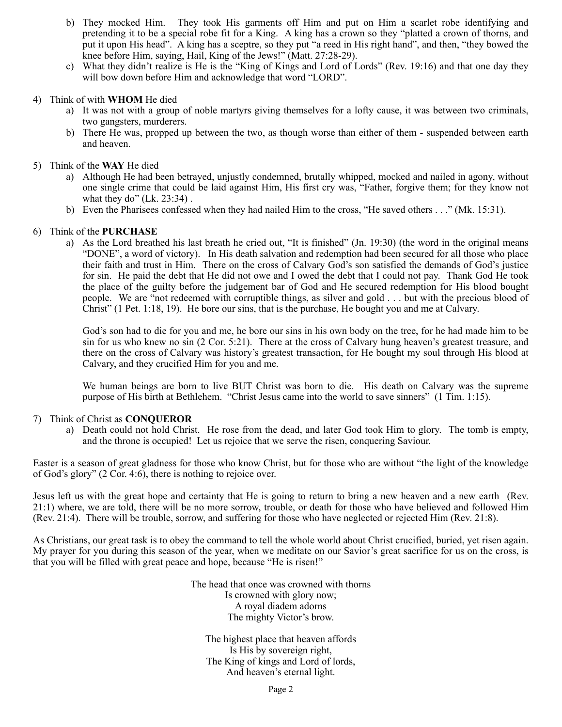- b) They mocked Him. They took His garments off Him and put on Him a scarlet robe identifying and pretending it to be a special robe fit for a King. A king has a crown so they "platted a crown of thorns, and put it upon His head". A king has a sceptre, so they put "a reed in His right hand", and then, "they bowed the knee before Him, saying, Hail, King of the Jews!" (Matt. 27:28-29).
- c) What they didn't realize is He is the "King of Kings and Lord of Lords" (Rev. 19:16) and that one day they will bow down before Him and acknowledge that word "LORD".

### 4) Think of with **WHOM** He died

- a) It was not with a group of noble martyrs giving themselves for a lofty cause, it was between two criminals, two gangsters, murderers.
- b) There He was, propped up between the two, as though worse than either of them suspended between earth and heaven.

#### 5) Think of the **WAY** He died

- a) Although He had been betrayed, unjustly condemned, brutally whipped, mocked and nailed in agony, without one single crime that could be laid against Him, His first cry was, "Father, forgive them; for they know not what they do" (Lk. 23:34) .
- b) Even the Pharisees confessed when they had nailed Him to the cross, "He saved others . . ." (Mk. 15:31).

#### 6) Think of the **PURCHASE**

a) As the Lord breathed his last breath he cried out, "It is finished" (Jn. 19:30) (the word in the original means "DONE", a word of victory). In His death salvation and redemption had been secured for all those who place their faith and trust in Him. There on the cross of Calvary God's son satisfied the demands of God's justice for sin. He paid the debt that He did not owe and I owed the debt that I could not pay. Thank God He took the place of the guilty before the judgement bar of God and He secured redemption for His blood bought people. We are "not redeemed with corruptible things, as silver and gold . . . but with the precious blood of Christ" (1 Pet. 1:18, 19). He bore our sins, that is the purchase, He bought you and me at Calvary.

God's son had to die for you and me, he bore our sins in his own body on the tree, for he had made him to be sin for us who knew no sin (2 Cor. 5:21). There at the cross of Calvary hung heaven's greatest treasure, and there on the cross of Calvary was history's greatest transaction, for He bought my soul through His blood at Calvary, and they crucified Him for you and me.

We human beings are born to live BUT Christ was born to die. His death on Calvary was the supreme purpose of His birth at Bethlehem. "Christ Jesus came into the world to save sinners" (1 Tim. 1:15).

### 7) Think of Christ as **CONQUEROR**

a) Death could not hold Christ. He rose from the dead, and later God took Him to glory. The tomb is empty, and the throne is occupied! Let us rejoice that we serve the risen, conquering Saviour.

Easter is a season of great gladness for those who know Christ, but for those who are without "the light of the knowledge of God's glory" (2 Cor. 4:6), there is nothing to rejoice over.

Jesus left us with the great hope and certainty that He is going to return to bring a new heaven and a new earth (Rev. 21:1) where, we are told, there will be no more sorrow, trouble, or death for those who have believed and followed Him (Rev. 21:4). There will be trouble, sorrow, and suffering for those who have neglected or rejected Him (Rev. 21:8).

As Christians, our great task is to obey the command to tell the whole world about Christ crucified, buried, yet risen again. My prayer for you during this season of the year, when we meditate on our Savior's great sacrifice for us on the cross, is that you will be filled with great peace and hope, because "He is risen!"

> The head that once was crowned with thorns Is crowned with glory now; A royal diadem adorns The mighty Victor's brow.

The highest place that heaven affords Is His by sovereign right, The King of kings and Lord of lords, And heaven's eternal light.